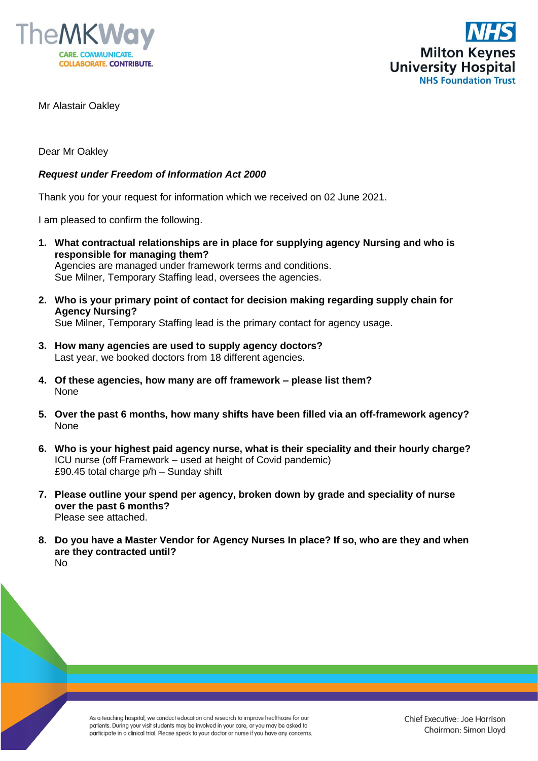



Mr Alastair Oakley

Dear Mr Oakley

## *Request under Freedom of Information Act 2000*

Thank you for your request for information which we received on 02 June 2021.

I am pleased to confirm the following.

**1. What contractual relationships are in place for supplying agency Nursing and who is responsible for managing them?** Agencies are managed under framework terms and conditions.

Sue Milner, Temporary Staffing lead, oversees the agencies.

**2. Who is your primary point of contact for decision making regarding supply chain for Agency Nursing?**

Sue Milner, Temporary Staffing lead is the primary contact for agency usage.

- **3. How many agencies are used to supply agency doctors?** Last year, we booked doctors from 18 different agencies.
- **4. Of these agencies, how many are off framework – please list them?** None
- **5. Over the past 6 months, how many shifts have been filled via an off-framework agency?** None
- **6. Who is your highest paid agency nurse, what is their speciality and their hourly charge?** ICU nurse (off Framework – used at height of Covid pandemic) £90.45 total charge p/h – Sunday shift
- **7. Please outline your spend per agency, broken down by grade and speciality of nurse over the past 6 months?** Please see attached.
- **8. Do you have a Master Vendor for Agency Nurses In place? If so, who are they and when are they contracted until?** No

As a teaching hospital, we conduct education and research to improve healthcare for our patients. During your visit students may be involved in your care, or you may be asked to participate in a clinical trial. Please speak to your doctor or nurse if you have any concerns.